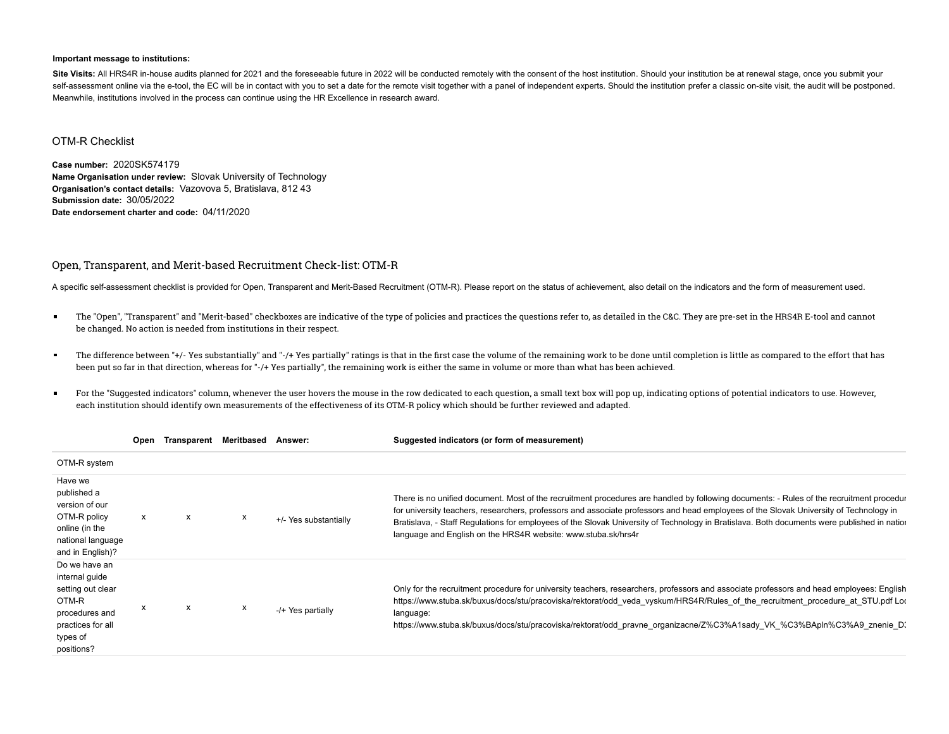## **Important message to institutions:**

Site Visits: All HRS4R in-house audits planned for 2021 and the foreseeable future in 2022 will be conducted remotely with the consent of the host institution. Should your institution be at renewal stage, once you submit y self-assessment online via the e-tool, the EC will be in contact with you to set a date for the remote visit together with a panel of independent experts. Should the institution prefer a classic on-site visit, the audit wi Meanwhile, institutions involved in the process can continue using the HR Excellence in research award.

## OTM-R Checklist

**Case number:** 2020SK574179 **Name Organisation under review:** Slovak University of Technology **Organisation's contact details:** Vazovova 5, Bratislava, 812 43 **Submission date:** 30/05/2022 **Date endorsement charter and code:** 04/11/2020

## Open, Transparent, and Merit-based Recruitment Check-list: OTM-R

A specific self-assessment checklist is provided for Open, Transparent and Merit-Based Recruitment (OTM-R). Please report on the status of achievement, also detail on the indicators and the form of measurement used.

- $\blacksquare$ The "Open", "Transparent" and "Merit-based" checkboxes are indicative of the type of policies and practices the questions refer to, as detailed in the C&C. They are pre-set in the HRS4R E-tool and cannot be changed. No action is needed from institutions in their respect.
- $\blacksquare$ The difference between "+/- Yes substantially" and "-/+ Yes partially" ratings is that in the first case the volume of the remaining work to be done until completion is little as compared to the effort that has been put so far in that direction, whereas for "-/+ Yes partially", the remaining work is either the same in volume or more than what has been achieved.
- $\blacksquare$ For the "Suggested indicators" column, whenever the user hovers the mouse in the row dedicated to each question, a small text box will pop up, indicating options of potential indicators to use. However, each institution should identify own measurements of the effectiveness of its OTM-R policy which should be further reviewed and adapted.

|                                                                                                                                | Open | Transparent Meritbased |   | Answer:               | Suggested indicators (or form of measurement)                                                                                                                                                                                                                                                                                                                                                                                                                                                      |
|--------------------------------------------------------------------------------------------------------------------------------|------|------------------------|---|-----------------------|----------------------------------------------------------------------------------------------------------------------------------------------------------------------------------------------------------------------------------------------------------------------------------------------------------------------------------------------------------------------------------------------------------------------------------------------------------------------------------------------------|
| OTM-R system                                                                                                                   |      |                        |   |                       |                                                                                                                                                                                                                                                                                                                                                                                                                                                                                                    |
| Have we<br>published a<br>version of our<br>OTM-R policy<br>online (in the<br>national language<br>and in English)?            | X    | x                      | х | +/- Yes substantially | There is no unified document. Most of the recruitment procedures are handled by following documents: - Rules of the recruitment procedur<br>for university teachers, researchers, professors and associate professors and head employees of the Slovak University of Technology in<br>Bratislava, - Staff Regulations for employees of the Slovak University of Technology in Bratislava. Both documents were published in natior<br>language and English on the HRS4R website: www.stuba.sk/hrs4r |
| Do we have an<br>internal guide<br>setting out clear<br>OTM-R<br>procedures and<br>practices for all<br>types of<br>positions? | x    | х                      | x | -/+ Yes partially     | Only for the recruitment procedure for university teachers, researchers, professors and associate professors and head employees: English<br>https://www.stuba.sk/buxus/docs/stu/pracoviska/rektorat/odd veda vyskum/HRS4R/Rules of the recruitment procedure at STU.pdf Loc<br>language:<br>https://www.stuba.sk/buxus/docs/stu/pracoviska/rektorat/odd pravne organizacne/Z%C3%A1sady VK %C3%BApln%C3%A9 znenie D                                                                                 |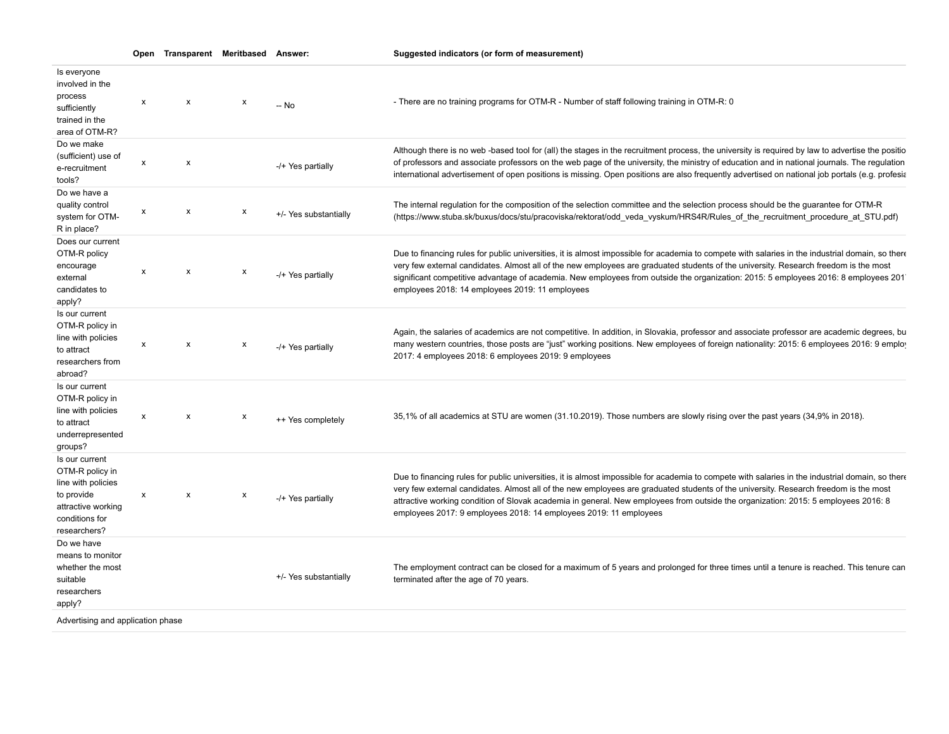|                                                                                                                               | Open | Transparent Meritbased Answer: |   |                       | Suggested indicators (or form of measurement)                                                                                                                                                                                                                                                                                                                                                                                                                                                       |
|-------------------------------------------------------------------------------------------------------------------------------|------|--------------------------------|---|-----------------------|-----------------------------------------------------------------------------------------------------------------------------------------------------------------------------------------------------------------------------------------------------------------------------------------------------------------------------------------------------------------------------------------------------------------------------------------------------------------------------------------------------|
| Is everyone<br>involved in the<br>process<br>sufficiently<br>trained in the<br>area of OTM-R?                                 | X    | $\boldsymbol{\mathsf{x}}$      | X | -- No                 | - There are no training programs for OTM-R - Number of staff following training in OTM-R: 0                                                                                                                                                                                                                                                                                                                                                                                                         |
| Do we make<br>(sufficient) use of<br>e-recruitment<br>tools?                                                                  | x    | $\boldsymbol{\mathsf{x}}$      |   | -/+ Yes partially     | Although there is no web-based tool for (all) the stages in the recruitment process, the university is required by law to advertise the positio<br>of professors and associate professors on the web page of the university, the ministry of education and in national journals. The regulation<br>international advertisement of open positions is missing. Open positions are also frequently advertised on national job portals (e.g. profesia                                                   |
| Do we have a<br>quality control<br>system for OTM-<br>R in place?                                                             | x    | X                              | х | +/- Yes substantially | The internal regulation for the composition of the selection committee and the selection process should be the guarantee for OTM-R<br>(https://www.stuba.sk/buxus/docs/stu/pracoviska/rektorat/odd_veda_vyskum/HRS4R/Rules_of_the_recruitment_procedure_at_STU.pdf)                                                                                                                                                                                                                                 |
| Does our current<br>OTM-R policy<br>encourage<br>external<br>candidates to<br>apply?                                          | x    | $\boldsymbol{\mathsf{x}}$      | х | -/+ Yes partially     | Due to financing rules for public universities, it is almost impossible for academia to compete with salaries in the industrial domain, so there<br>very few external candidates. Almost all of the new employees are graduated students of the university. Research freedom is the most<br>significant competitive advantage of academia. New employees from outside the organization: 2015: 5 employees 2016: 8 employees 201<br>employees 2018: 14 employees 2019: 11 employees                  |
| Is our current<br>OTM-R policy in<br>line with policies<br>to attract<br>researchers from<br>abroad?                          | X    | $\mathsf{x}$                   | X | -/+ Yes partially     | Again, the salaries of academics are not competitive. In addition, in Slovakia, professor and associate professor are academic degrees, bu<br>many western countries, those posts are "just" working positions. New employees of foreign nationality: 2015: 6 employees 2016: 9 employ<br>2017: 4 employees 2018: 6 employees 2019: 9 employees                                                                                                                                                     |
| Is our current<br>OTM-R policy in<br>line with policies<br>to attract<br>underrepresented<br>groups?                          | X    | $\mathsf{x}$                   | х | ++ Yes completely     | 35,1% of all academics at STU are women (31.10.2019). Those numbers are slowly rising over the past years (34,9% in 2018).                                                                                                                                                                                                                                                                                                                                                                          |
| Is our current<br>OTM-R policy in<br>line with policies<br>to provide<br>attractive working<br>conditions for<br>researchers? | X    | X                              | х | -/+ Yes partially     | Due to financing rules for public universities, it is almost impossible for academia to compete with salaries in the industrial domain, so there<br>very few external candidates. Almost all of the new employees are graduated students of the university. Research freedom is the most<br>attractive working condition of Slovak academia in general. New employees from outside the organization: 2015: 5 employees 2016: 8<br>employees 2017: 9 employees 2018: 14 employees 2019: 11 employees |
| Do we have<br>means to monitor<br>whether the most<br>suitable<br>researchers<br>apply?                                       |      |                                |   | +/- Yes substantially | The employment contract can be closed for a maximum of 5 years and prolonged for three times until a tenure is reached. This tenure can<br>terminated after the age of 70 years.                                                                                                                                                                                                                                                                                                                    |
| Advertising and application phase                                                                                             |      |                                |   |                       |                                                                                                                                                                                                                                                                                                                                                                                                                                                                                                     |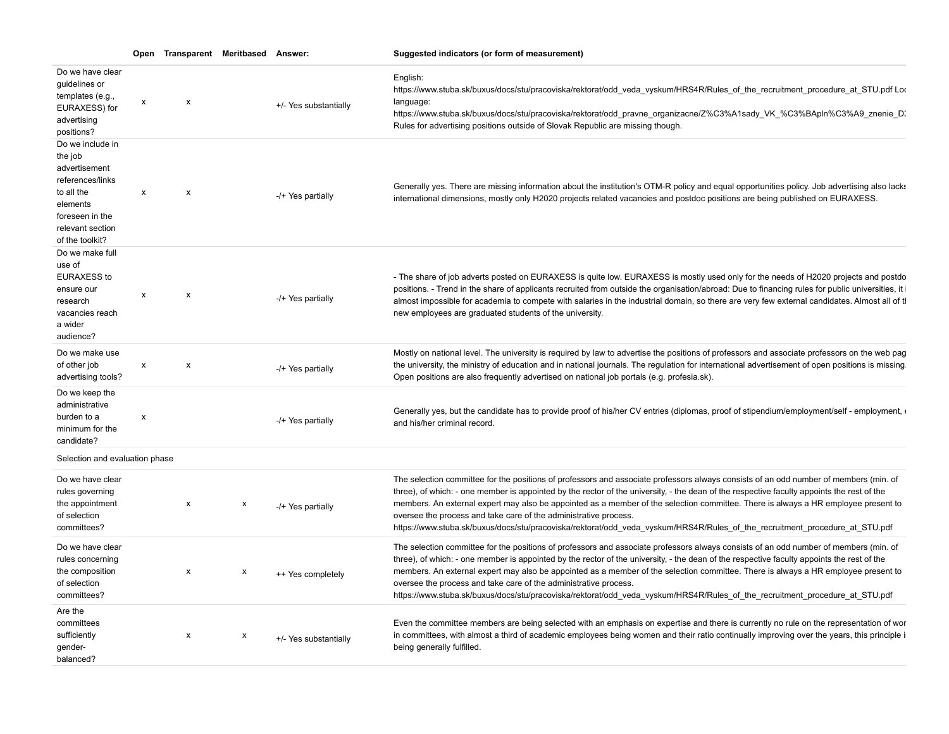|                                                                                                                                                      |              | Open Transparent Meritbased Answer: |   |                       | Suggested indicators (or form of measurement)                                                                                                                                                                                                                                                                                                                                                                                                                                                                                                                                                                                |
|------------------------------------------------------------------------------------------------------------------------------------------------------|--------------|-------------------------------------|---|-----------------------|------------------------------------------------------------------------------------------------------------------------------------------------------------------------------------------------------------------------------------------------------------------------------------------------------------------------------------------------------------------------------------------------------------------------------------------------------------------------------------------------------------------------------------------------------------------------------------------------------------------------------|
| Do we have clear<br>guidelines or<br>templates (e.g.,<br>EURAXESS) for<br>advertising<br>positions?                                                  | x            | $\boldsymbol{\mathsf{x}}$           |   | +/- Yes substantially | English:<br>https://www.stuba.sk/buxus/docs/stu/pracoviska/rektorat/odd_veda_vyskum/HRS4R/Rules_of_the_recruitment_procedure_at_STU.pdf Loo<br>language:<br>https://www.stuba.sk/buxus/docs/stu/pracoviska/rektorat/odd_pravne_organizacne/Z%C3%A1sady_VK_%C3%BApln%C3%A9_znenie_D<br>Rules for advertising positions outside of Slovak Republic are missing though.                                                                                                                                                                                                                                                         |
| Do we include in<br>the job<br>advertisement<br>references/links<br>to all the<br>elements<br>foreseen in the<br>relevant section<br>of the toolkit? | $\mathsf{x}$ | $\boldsymbol{\mathsf{x}}$           |   | -/+ Yes partially     | Generally yes. There are missing information about the institution's OTM-R policy and equal opportunities policy. Job advertising also lacks<br>international dimensions, mostly only H2020 projects related vacancies and postdoc positions are being published on EURAXESS.                                                                                                                                                                                                                                                                                                                                                |
| Do we make full<br>use of<br><b>EURAXESS to</b><br>ensure our<br>research<br>vacancies reach<br>a wider<br>audience?                                 | X            | $\boldsymbol{\mathsf{x}}$           |   | -/+ Yes partially     | - The share of job adverts posted on EURAXESS is quite low. EURAXESS is mostly used only for the needs of H2020 projects and postdo<br>positions. - Trend in the share of applicants recruited from outside the organisation/abroad: Due to financing rules for public universities, it i<br>almost impossible for academia to compete with salaries in the industrial domain, so there are very few external candidates. Almost all of tl<br>new employees are graduated students of the university.                                                                                                                        |
| Do we make use<br>of other job<br>advertising tools?                                                                                                 | $\mathsf{x}$ | $\boldsymbol{\mathsf{x}}$           |   | -/+ Yes partially     | Mostly on national level. The university is required by law to advertise the positions of professors and associate professors on the web pag<br>the university, the ministry of education and in national journals. The regulation for international advertisement of open positions is missing.<br>Open positions are also frequently advertised on national job portals (e.g. profesia.sk).                                                                                                                                                                                                                                |
| Do we keep the<br>administrative<br>burden to a<br>minimum for the<br>candidate?                                                                     | X            |                                     |   | -/+ Yes partially     | Generally yes, but the candidate has to provide proof of his/her CV entries (diplomas, proof of stipendium/employment/self - employment, «<br>and his/her criminal record.                                                                                                                                                                                                                                                                                                                                                                                                                                                   |
| Selection and evaluation phase                                                                                                                       |              |                                     |   |                       |                                                                                                                                                                                                                                                                                                                                                                                                                                                                                                                                                                                                                              |
| Do we have clear<br>rules governing<br>the appointment<br>of selection<br>committees?                                                                |              | х                                   | x | -/+ Yes partially     | The selection committee for the positions of professors and associate professors always consists of an odd number of members (min. of<br>three), of which: - one member is appointed by the rector of the university, - the dean of the respective faculty appoints the rest of the<br>members. An external expert may also be appointed as a member of the selection committee. There is always a HR employee present to<br>oversee the process and take care of the administrative process.<br>https://www.stuba.sk/buxus/docs/stu/pracoviska/rektorat/odd_veda_vyskum/HRS4R/Rules_of_the_recruitment_procedure_at_STU.pdf |
| Do we have clear<br>rules concerning<br>the composition<br>of selection<br>committees?                                                               |              | x                                   | X | ++ Yes completely     | The selection committee for the positions of professors and associate professors always consists of an odd number of members (min. of<br>three), of which: - one member is appointed by the rector of the university, - the dean of the respective faculty appoints the rest of the<br>members. An external expert may also be appointed as a member of the selection committee. There is always a HR employee present to<br>oversee the process and take care of the administrative process.<br>https://www.stuba.sk/buxus/docs/stu/pracoviska/rektorat/odd veda vyskum/HRS4R/Rules of the recruitment procedure at STU.pdf |
| Are the<br>committees<br>sufficiently<br>qender-<br>balanced?                                                                                        |              | x                                   | X | +/- Yes substantially | Even the committee members are being selected with an emphasis on expertise and there is currently no rule on the representation of wor<br>in committees, with almost a third of academic employees being women and their ratio continually improving over the years, this principle in<br>being generally fulfilled.                                                                                                                                                                                                                                                                                                        |